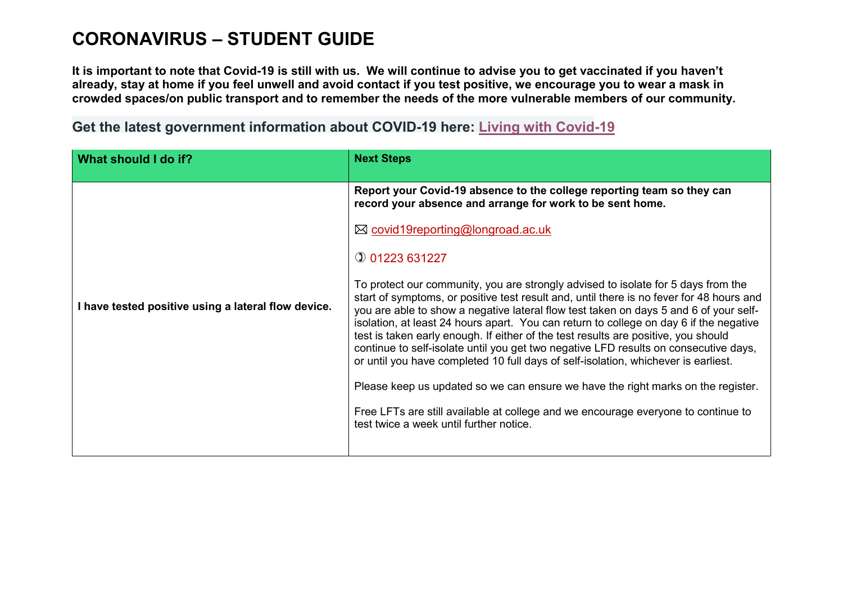## **CORONAVIRUS – STUDENT GUIDE**

**It is important to note that Covid-19 is still with us. We will continue to advise you to get vaccinated if you haven't already, stay at home if you feel unwell and avoid contact if you test positive, we encourage you to wear a mask in crowded spaces/on public transport and to remember the needs of the more vulnerable members of our community.**

**Get the latest government information about COVID-19 here: [Living with Covid-19](https://www.gov.uk/government/publications/covid-19-response-living-with-covid-19?utm_source=21%20February%202022%20C19&utm_medium=Daily%20Email%20C19&utm_campaign=DfE%20C19)**

| What should I do if?                                | <b>Next Steps</b>                                                                                                                                                                                                                                                                                                                                                                                                                                                                                                                                                                                                                                                                                                                                                                                                                                        |
|-----------------------------------------------------|----------------------------------------------------------------------------------------------------------------------------------------------------------------------------------------------------------------------------------------------------------------------------------------------------------------------------------------------------------------------------------------------------------------------------------------------------------------------------------------------------------------------------------------------------------------------------------------------------------------------------------------------------------------------------------------------------------------------------------------------------------------------------------------------------------------------------------------------------------|
| I have tested positive using a lateral flow device. | Report your Covid-19 absence to the college reporting team so they can<br>record your absence and arrange for work to be sent home.                                                                                                                                                                                                                                                                                                                                                                                                                                                                                                                                                                                                                                                                                                                      |
|                                                     | ⊠ covid19reporting@longroad.ac.uk                                                                                                                                                                                                                                                                                                                                                                                                                                                                                                                                                                                                                                                                                                                                                                                                                        |
|                                                     | $Q$ 01223 631227                                                                                                                                                                                                                                                                                                                                                                                                                                                                                                                                                                                                                                                                                                                                                                                                                                         |
|                                                     | To protect our community, you are strongly advised to isolate for 5 days from the<br>start of symptoms, or positive test result and, until there is no fever for 48 hours and<br>you are able to show a negative lateral flow test taken on days 5 and 6 of your self-<br>isolation, at least 24 hours apart. You can return to college on day 6 if the negative<br>test is taken early enough. If either of the test results are positive, you should<br>continue to self-isolate until you get two negative LFD results on consecutive days,<br>or until you have completed 10 full days of self-isolation, whichever is earliest.<br>Please keep us updated so we can ensure we have the right marks on the register.<br>Free LFTs are still available at college and we encourage everyone to continue to<br>test twice a week until further notice. |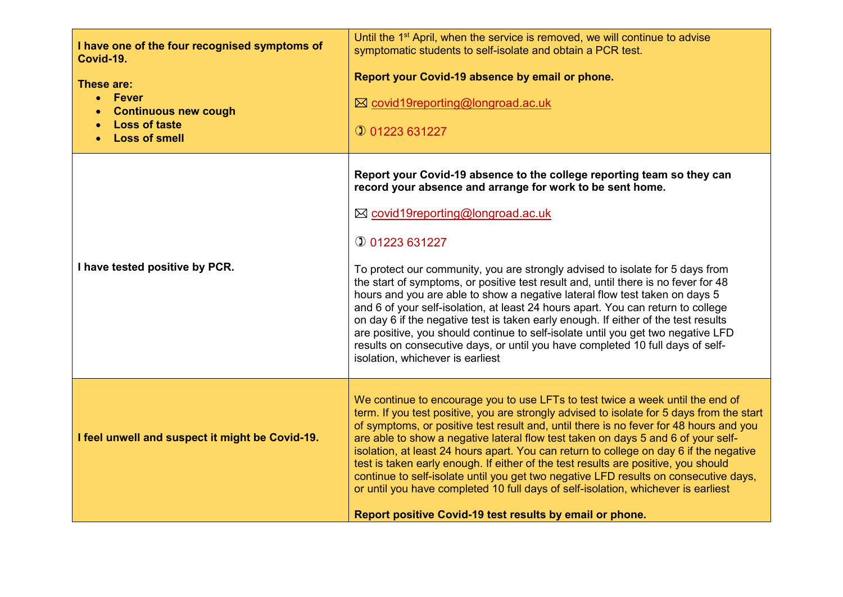| I have one of the four recognised symptoms of<br>Covid-19.<br>These are:<br>$\bullet$ Fever<br><b>Continuous new cough</b><br><b>Loss of taste</b><br><b>Loss of smell</b> | Until the 1 <sup>st</sup> April, when the service is removed, we will continue to advise<br>symptomatic students to self-isolate and obtain a PCR test.<br>Report your Covid-19 absence by email or phone.<br>⊠ covid19reporting@longroad.ac.uk<br>$Q$ 01223 631227                                                                                                                                                                                                                                                                                                                                                                                                                                                                                                                                                                          |
|----------------------------------------------------------------------------------------------------------------------------------------------------------------------------|----------------------------------------------------------------------------------------------------------------------------------------------------------------------------------------------------------------------------------------------------------------------------------------------------------------------------------------------------------------------------------------------------------------------------------------------------------------------------------------------------------------------------------------------------------------------------------------------------------------------------------------------------------------------------------------------------------------------------------------------------------------------------------------------------------------------------------------------|
| I have tested positive by PCR.                                                                                                                                             | Report your Covid-19 absence to the college reporting team so they can<br>record your absence and arrange for work to be sent home.<br>⊠ covid19reporting@longroad.ac.uk<br><b>10 01223 631227</b><br>To protect our community, you are strongly advised to isolate for 5 days from<br>the start of symptoms, or positive test result and, until there is no fever for 48<br>hours and you are able to show a negative lateral flow test taken on days 5<br>and 6 of your self-isolation, at least 24 hours apart. You can return to college<br>on day 6 if the negative test is taken early enough. If either of the test results<br>are positive, you should continue to self-isolate until you get two negative LFD<br>results on consecutive days, or until you have completed 10 full days of self-<br>isolation, whichever is earliest |
| I feel unwell and suspect it might be Covid-19.                                                                                                                            | We continue to encourage you to use LFTs to test twice a week until the end of<br>term. If you test positive, you are strongly advised to isolate for 5 days from the start<br>of symptoms, or positive test result and, until there is no fever for 48 hours and you<br>are able to show a negative lateral flow test taken on days 5 and 6 of your self-<br>isolation, at least 24 hours apart. You can return to college on day 6 if the negative<br>test is taken early enough. If either of the test results are positive, you should<br>continue to self-isolate until you get two negative LFD results on consecutive days,<br>or until you have completed 10 full days of self-isolation, whichever is earliest<br>Report positive Covid-19 test results by email or phone.                                                          |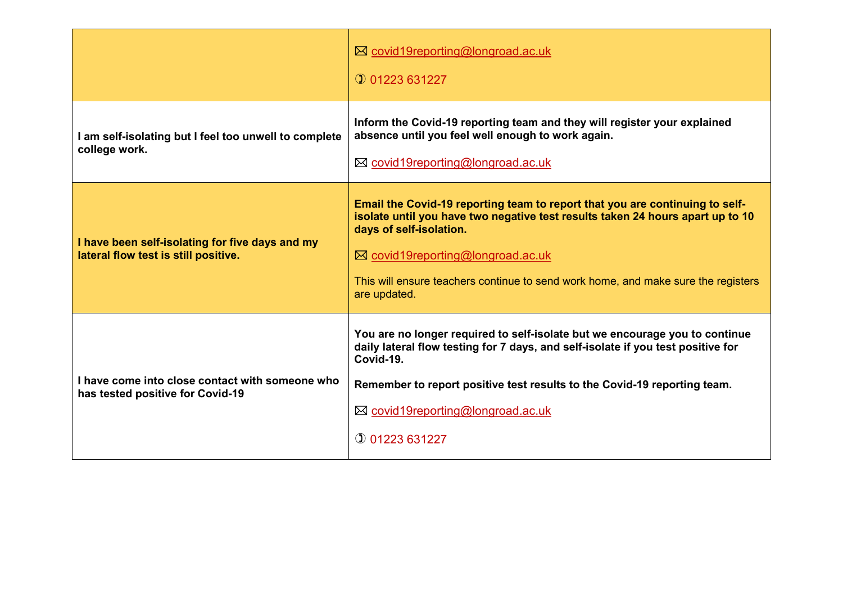|                                                                                         | ⊠ covid19reporting@longroad.ac.uk<br>$①$ 01223 631227                                                                                                                                                                                                                                                                               |
|-----------------------------------------------------------------------------------------|-------------------------------------------------------------------------------------------------------------------------------------------------------------------------------------------------------------------------------------------------------------------------------------------------------------------------------------|
| I am self-isolating but I feel too unwell to complete<br>college work.                  | Inform the Covid-19 reporting team and they will register your explained<br>absence until you feel well enough to work again.<br>⊠ covid19reporting@longroad.ac.uk                                                                                                                                                                  |
| I have been self-isolating for five days and my<br>lateral flow test is still positive. | Email the Covid-19 reporting team to report that you are continuing to self-<br>isolate until you have two negative test results taken 24 hours apart up to 10<br>days of self-isolation.<br>⊠ covid19reporting@longroad.ac.uk<br>This will ensure teachers continue to send work home, and make sure the registers<br>are updated. |
| I have come into close contact with someone who<br>has tested positive for Covid-19     | You are no longer required to self-isolate but we encourage you to continue<br>daily lateral flow testing for 7 days, and self-isolate if you test positive for<br>Covid-19.<br>Remember to report positive test results to the Covid-19 reporting team.<br>⊠ covid19reporting@longroad.ac.uk<br>$①$ 01223 631227                   |